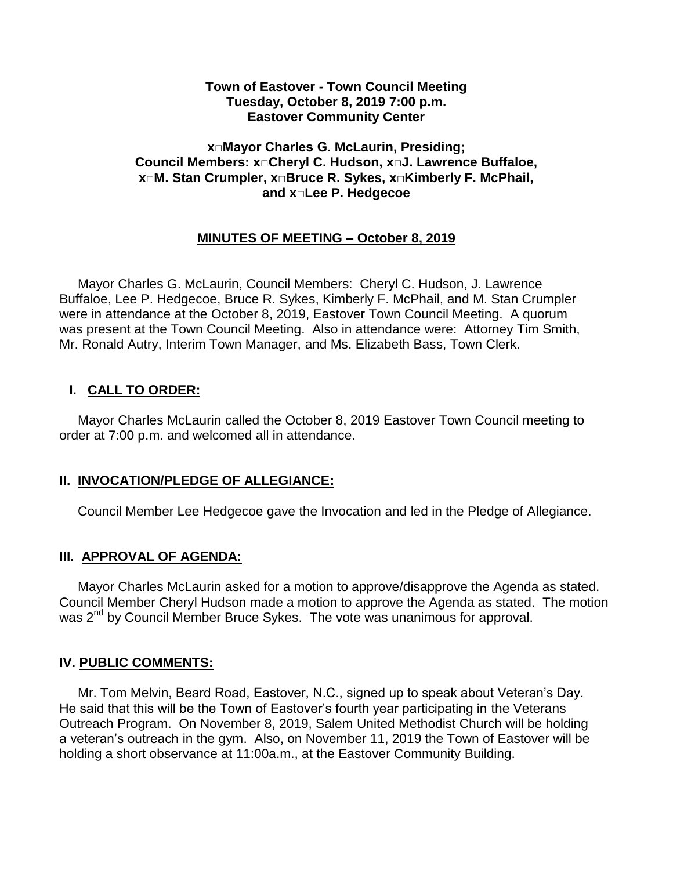### **Town of Eastover - Town Council Meeting Tuesday, October 8, 2019 7:00 p.m. Eastover Community Center**

### **x□Mayor Charles G. McLaurin, Presiding; Council Members: x□Cheryl C. Hudson, x□J. Lawrence Buffaloe, x□M. Stan Crumpler, x□Bruce R. Sykes, x□Kimberly F. McPhail, and x□Lee P. Hedgecoe**

## **MINUTES OF MEETING – October 8, 2019**

 Mayor Charles G. McLaurin, Council Members: Cheryl C. Hudson, J. Lawrence Buffaloe, Lee P. Hedgecoe, Bruce R. Sykes, Kimberly F. McPhail, and M. Stan Crumpler were in attendance at the October 8, 2019, Eastover Town Council Meeting. A quorum was present at the Town Council Meeting. Also in attendance were: Attorney Tim Smith, Mr. Ronald Autry, Interim Town Manager, and Ms. Elizabeth Bass, Town Clerk.

## **I. CALL TO ORDER:**

 Mayor Charles McLaurin called the October 8, 2019 Eastover Town Council meeting to order at 7:00 p.m. and welcomed all in attendance.

## **II. INVOCATION/PLEDGE OF ALLEGIANCE:**

Council Member Lee Hedgecoe gave the Invocation and led in the Pledge of Allegiance.

## **III. APPROVAL OF AGENDA:**

 Mayor Charles McLaurin asked for a motion to approve/disapprove the Agenda as stated. Council Member Cheryl Hudson made a motion to approve the Agenda as stated. The motion was 2<sup>nd</sup> by Council Member Bruce Sykes. The vote was unanimous for approval.

## **IV. PUBLIC COMMENTS:**

 Mr. Tom Melvin, Beard Road, Eastover, N.C., signed up to speak about Veteran's Day. He said that this will be the Town of Eastover's fourth year participating in the Veterans Outreach Program. On November 8, 2019, Salem United Methodist Church will be holding a veteran's outreach in the gym. Also, on November 11, 2019 the Town of Eastover will be holding a short observance at 11:00a.m., at the Eastover Community Building.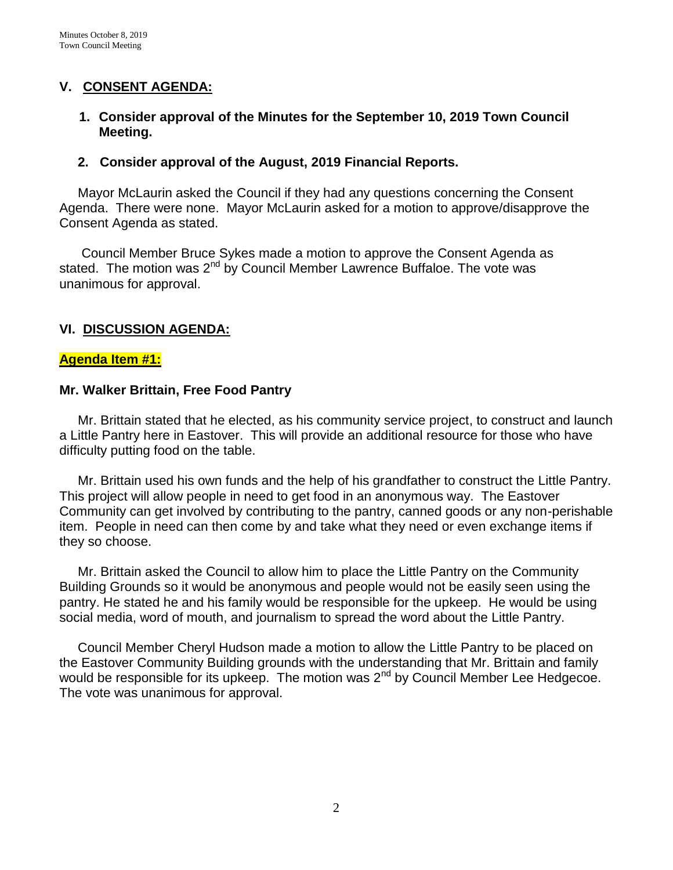## **V. CONSENT AGENDA:**

## **1. Consider approval of the Minutes for the September 10, 2019 Town Council Meeting.**

### **2. Consider approval of the August, 2019 Financial Reports.**

 Mayor McLaurin asked the Council if they had any questions concerning the Consent Agenda. There were none. Mayor McLaurin asked for a motion to approve/disapprove the Consent Agenda as stated.

 Council Member Bruce Sykes made a motion to approve the Consent Agenda as stated. The motion was 2<sup>nd</sup> by Council Member Lawrence Buffaloe. The vote was unanimous for approval.

## **VI. DISCUSSION AGENDA:**

#### **Agenda Item #1:**

### **Mr. Walker Brittain, Free Food Pantry**

Mr. Brittain stated that he elected, as his community service project, to construct and launch a Little Pantry here in Eastover. This will provide an additional resource for those who have difficulty putting food on the table.

 Mr. Brittain used his own funds and the help of his grandfather to construct the Little Pantry. This project will allow people in need to get food in an anonymous way. The Eastover Community can get involved by contributing to the pantry, canned goods or any non-perishable item. People in need can then come by and take what they need or even exchange items if they so choose.

 Mr. Brittain asked the Council to allow him to place the Little Pantry on the Community Building Grounds so it would be anonymous and people would not be easily seen using the pantry. He stated he and his family would be responsible for the upkeep. He would be using social media, word of mouth, and journalism to spread the word about the Little Pantry.

 Council Member Cheryl Hudson made a motion to allow the Little Pantry to be placed on the Eastover Community Building grounds with the understanding that Mr. Brittain and family would be responsible for its upkeep. The motion was 2<sup>nd</sup> by Council Member Lee Hedgecoe. The vote was unanimous for approval.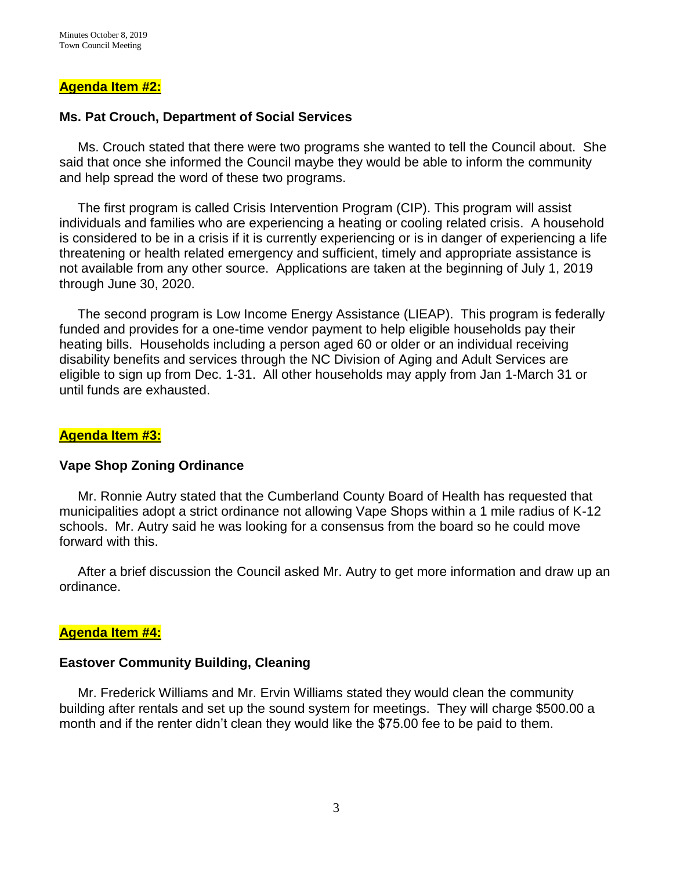#### **Agenda Item #2:**

### **Ms. Pat Crouch, Department of Social Services**

Ms. Crouch stated that there were two programs she wanted to tell the Council about. She said that once she informed the Council maybe they would be able to inform the community and help spread the word of these two programs.

The first program is called Crisis Intervention Program (CIP). This program will assist individuals and families who are experiencing a heating or cooling related crisis. A household is considered to be in a crisis if it is currently experiencing or is in danger of experiencing a life threatening or health related emergency and sufficient, timely and appropriate assistance is not available from any other source. Applications are taken at the beginning of July 1, 2019 through June 30, 2020.

 The second program is Low Income Energy Assistance (LIEAP). This program is federally funded and provides for a one-time vendor payment to help eligible households pay their heating bills. Households including a person aged 60 or older or an individual receiving disability benefits and services through the NC Division of Aging and Adult Services are eligible to sign up from Dec. 1-31. All other households may apply from Jan 1-March 31 or until funds are exhausted.

#### **Agenda Item #3:**

#### **Vape Shop Zoning Ordinance**

 Mr. Ronnie Autry stated that the Cumberland County Board of Health has requested that municipalities adopt a strict ordinance not allowing Vape Shops within a 1 mile radius of K-12 schools. Mr. Autry said he was looking for a consensus from the board so he could move forward with this.

 After a brief discussion the Council asked Mr. Autry to get more information and draw up an ordinance.

#### **Agenda Item #4:**

#### **Eastover Community Building, Cleaning**

Mr. Frederick Williams and Mr. Ervin Williams stated they would clean the community building after rentals and set up the sound system for meetings. They will charge \$500.00 a month and if the renter didn't clean they would like the \$75.00 fee to be paid to them.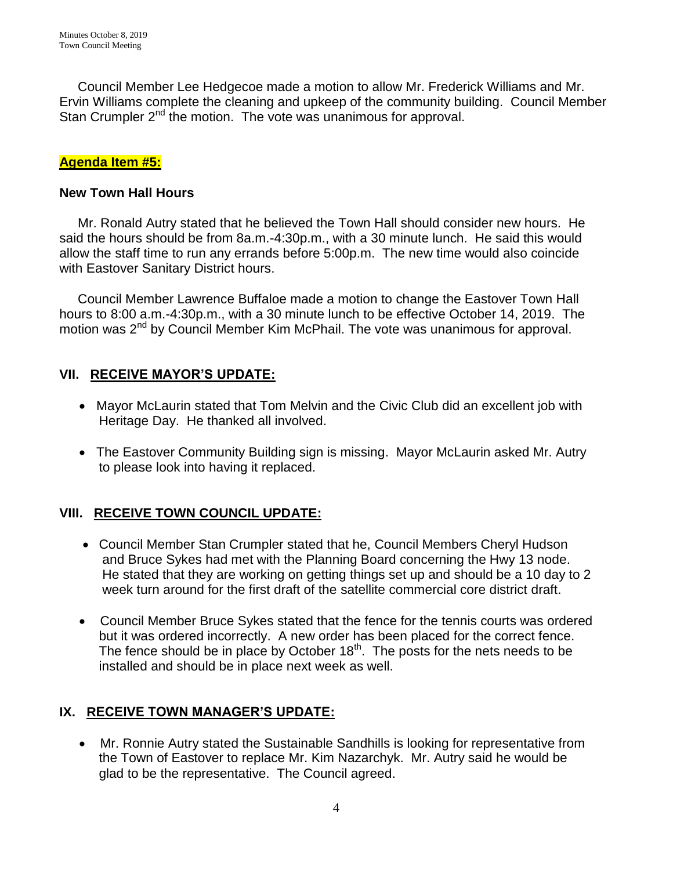Council Member Lee Hedgecoe made a motion to allow Mr. Frederick Williams and Mr. Ervin Williams complete the cleaning and upkeep of the community building. Council Member Stan Crumpler 2<sup>nd</sup> the motion. The vote was unanimous for approval.

## **Agenda Item #5:**

## **New Town Hall Hours**

 Mr. Ronald Autry stated that he believed the Town Hall should consider new hours. He said the hours should be from 8a.m.-4:30p.m., with a 30 minute lunch. He said this would allow the staff time to run any errands before 5:00p.m. The new time would also coincide with Eastover Sanitary District hours.

 Council Member Lawrence Buffaloe made a motion to change the Eastover Town Hall hours to 8:00 a.m.-4:30p.m., with a 30 minute lunch to be effective October 14, 2019. The motion was 2<sup>nd</sup> by Council Member Kim McPhail. The vote was unanimous for approval.

## **VII. RECEIVE MAYOR'S UPDATE:**

- Mayor McLaurin stated that Tom Melvin and the Civic Club did an excellent job with Heritage Day. He thanked all involved.
- The Eastover Community Building sign is missing. Mayor McLaurin asked Mr. Autry to please look into having it replaced.

## **VIII. RECEIVE TOWN COUNCIL UPDATE:**

- Council Member Stan Crumpler stated that he, Council Members Cheryl Hudson and Bruce Sykes had met with the Planning Board concerning the Hwy 13 node. He stated that they are working on getting things set up and should be a 10 day to 2 week turn around for the first draft of the satellite commercial core district draft.
- Council Member Bruce Sykes stated that the fence for the tennis courts was ordered but it was ordered incorrectly. A new order has been placed for the correct fence. The fence should be in place by October  $18<sup>th</sup>$ . The posts for the nets needs to be installed and should be in place next week as well.

## **IX. RECEIVE TOWN MANAGER'S UPDATE:**

 Mr. Ronnie Autry stated the Sustainable Sandhills is looking for representative from the Town of Eastover to replace Mr. Kim Nazarchyk. Mr. Autry said he would be glad to be the representative. The Council agreed.